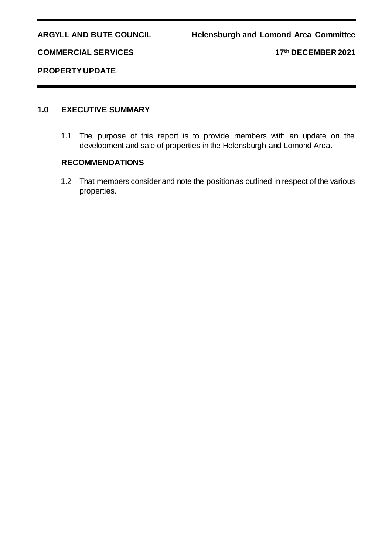**COMMERCIAL SERVICES 17th DECEMBER 2021**

## **PROPERTY UPDATE**

## **1.0 EXECUTIVE SUMMARY**

1.1 The purpose of this report is to provide members with an update on the development and sale of properties in the Helensburgh and Lomond Area.

# **RECOMMENDATIONS**

1.2 That members consider and note the position as outlined in respect of the various properties.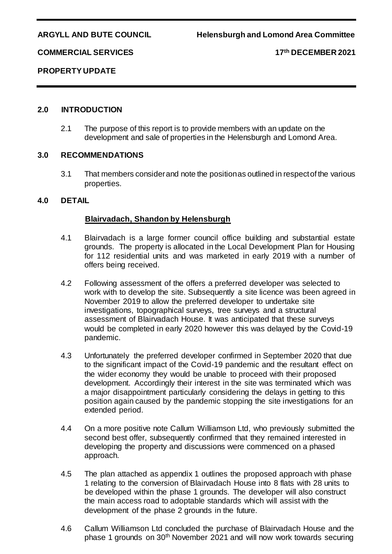**COMMERCIAL SERVICES 17th DECEMBER 2021**

**PROPERTY UPDATE**

# **2.0 INTRODUCTION**

2.1 The purpose of this report is to provide members with an update on the development and sale of properties in the Helensburgh and Lomond Area.

### **3.0 RECOMMENDATIONS**

3.1 That members consider and note the position as outlined in respect of the various properties.

### **4.0 DETAIL**

### **Blairvadach, Shandon by Helensburgh**

- 4.1 Blairvadach is a large former council office building and substantial estate grounds. The property is allocated in the Local Development Plan for Housing for 112 residential units and was marketed in early 2019 with a number of offers being received.
- 4.2 Following assessment of the offers a preferred developer was selected to work with to develop the site. Subsequently a site licence was been agreed in November 2019 to allow the preferred developer to undertake site investigations, topographical surveys, tree surveys and a structural assessment of Blairvadach House. It was anticipated that these surveys would be completed in early 2020 however this was delayed by the Covid-19 pandemic.
- 4.3 Unfortunately the preferred developer confirmed in September 2020 that due to the significant impact of the Covid-19 pandemic and the resultant effect on the wider economy they would be unable to proceed with their proposed development. Accordingly their interest in the site was terminated which was a major disappointment particularly considering the delays in getting to this position again caused by the pandemic stopping the site investigations for an extended period.
- 4.4 On a more positive note Callum Williamson Ltd, who previously submitted the second best offer, subsequently confirmed that they remained interested in developing the property and discussions were commenced on a phased approach.
- 4.5 The plan attached as appendix 1 outlines the proposed approach with phase 1 relating to the conversion of Blairvadach House into 8 flats with 28 units to be developed within the phase 1 grounds. The developer will also construct the main access road to adoptable standards which will assist with the development of the phase 2 grounds in the future.
- 4.6 Callum Williamson Ltd concluded the purchase of Blairvadach House and the phase 1 grounds on 30th November 2021 and will now work towards securing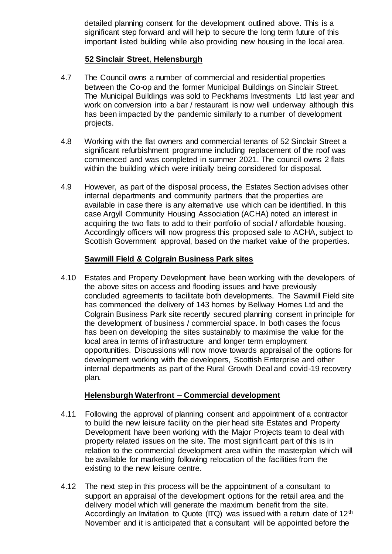detailed planning consent for the development outlined above. This is a significant step forward and will help to secure the long term future of this important listed building while also providing new housing in the local area.

# **52 Sinclair Street**, **Helensburgh**

- 4.7 The Council owns a number of commercial and residential properties between the Co-op and the former Municipal Buildings on Sinclair Street. The Municipal Buildings was sold to Peckhams Investments Ltd last year and work on conversion into a bar / restaurant is now well underway although this has been impacted by the pandemic similarly to a number of development projects.
- 4.8 Working with the flat owners and commercial tenants of 52 Sinclair Street a significant refurbishment programme including replacement of the roof was commenced and was completed in summer 2021. The council owns 2 flats within the building which were initially being considered for disposal.
- 4.9 However, as part of the disposal process, the Estates Section advises other internal departments and community partners that the properties are available in case there is any alternative use which can be identified. In this case Argyll Community Housing Association (ACHA) noted an interest in acquiring the two flats to add to their portfolio of social / affordable housing. Accordingly officers will now progress this proposed sale to ACHA, subject to Scottish Government approval, based on the market value of the properties.

# **Sawmill Field & Colgrain Business Park sites**

4.10 Estates and Property Development have been working with the developers of the above sites on access and flooding issues and have previously concluded agreements to facilitate both developments. The Sawmill Field site has commenced the delivery of 143 homes by Bellway Homes Ltd and the Colgrain Business Park site recently secured planning consent in principle for the development of business / commercial space. In both cases the focus has been on developing the sites sustainably to maximise the value for the local area in terms of infrastructure and longer term employment opportunities. Discussions will now move towards appraisal of the options for development working with the developers, Scottish Enterprise and other internal departments as part of the Rural Growth Deal and covid-19 recovery plan.

## **Helensburgh Waterfront – Commercial development**

- 4.11 Following the approval of planning consent and appointment of a contractor to build the new leisure facility on the pier head site Estates and Property Development have been working with the Major Projects team to deal with property related issues on the site. The most significant part of this is in relation to the commercial development area within the masterplan which will be available for marketing following relocation of the facilities from the existing to the new leisure centre.
- 4.12 The next step in this process will be the appointment of a consultant to support an appraisal of the development options for the retail area and the delivery model which will generate the maximum benefit from the site. Accordingly an Invitation to Quote (ITQ) was issued with a return date of  $12<sup>th</sup>$ November and it is anticipated that a consultant will be appointed before the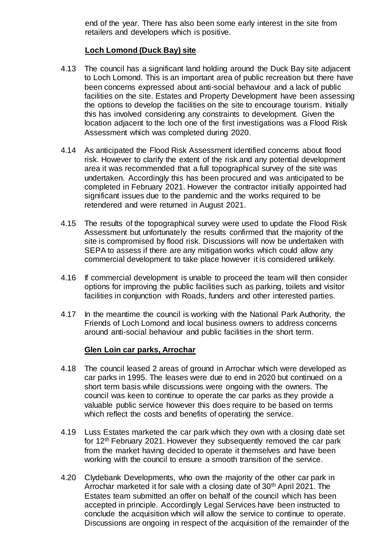end of the year. There has also been some early interest in the site from retailers and developers which is positive.

# **Loch Lomond (Duck Bay) site**

- 4.13 The council has a significant land holding around the Duck Bay site adjacent to Loch Lomond. This is an important area of public recreation but there have been concerns expressed about anti-social behaviour and a lack of public facilities on the site. Estates and Property Development have been assessing the options to develop the facilities on the site to encourage tourism. Initially this has involved considering any constraints to development. Given the location adjacent to the loch one of the first investigations was a Flood Risk Assessment which was completed during 2020.
- 4.14 As anticipated the Flood Risk Assessment identified concerns about flood risk. However to clarify the extent of the risk and any potential development area it was recommended that a full topographical survey of the site was undertaken. Accordingly this has been procured and was anticipated to be completed in February 2021. However the contractor initially appointed had significant issues due to the pandemic and the works required to be retendered and were returned in August 2021.
- 4.15 The results of the topographical survey were used to update the Flood Risk Assessment but unfortunately the results confirmed that the majority of the site is compromised by flood risk. Discussions will now be undertaken with SEPA to assess if there are any mitigation works which could allow any commercial development to take place however it is considered unlikely.
- 4.16 If commercial development is unable to proceed the team will then consider options for improving the public facilities such as parking, toilets and visitor facilities in conjunction with Roads, funders and other interested parties.
- 4.17 In the meantime the council is working with the National Park Authority, the Friends of Loch Lomond and local business owners to address concerns around anti-social behaviour and public facilities in the short term.

## **Glen Loin car parks, Arrochar**

- 4.18 The council leased 2 areas of ground in Arrochar which were developed as car parks in 1995. The leases were due to end in 2020 but continued on a short term basis while discussions were ongoing with the owners. The council was keen to continue to operate the car parks as they provide a valuable public service however this does require to be based on terms which reflect the costs and benefits of operating the service.
- 4.19 Luss Estates marketed the car park which they own with a closing date set for 12th February 2021. However they subsequently removed the car park from the market having decided to operate it themselves and have been working with the council to ensure a smooth transition of the service.
- 4.20 Clydebank Developments, who own the majority of the other car park in Arrochar marketed it for sale with a closing date of 30<sup>th</sup> April 2021. The Estates team submitted an offer on behalf of the council which has been accepted in principle. Accordingly Legal Services have been instructed to conclude the acquisition which will allow the service to continue to operate. Discussions are ongoing in respect of the acquisition of the remainder of the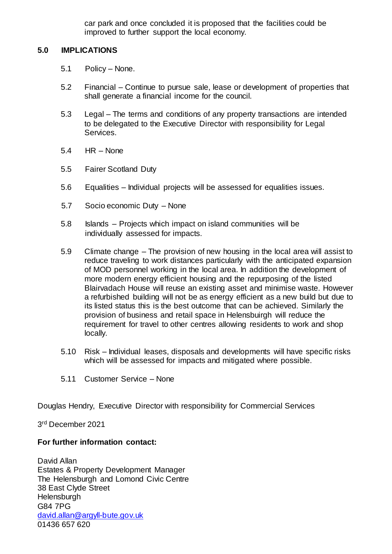car park and once concluded it is proposed that the facilities could be improved to further support the local economy.

### **5.0 IMPLICATIONS**

- 5.1 Policy None.
- 5.2 Financial Continue to pursue sale, lease or development of properties that shall generate a financial income for the council.
- 5.3 Legal The terms and conditions of any property transactions are intended to be delegated to the Executive Director with responsibility for Legal Services.
- 5.4 HR None
- 5.5 Fairer Scotland Duty
- 5.6 Equalities Individual projects will be assessed for equalities issues.
- 5.7 Socio economic Duty None
- 5.8 Islands Projects which impact on island communities will be individually assessed for impacts.
- 5.9 Climate change The provision of new housing in the local area will assist to reduce traveling to work distances particularly with the anticipated expansion of MOD personnel working in the local area. In addition the development of more modern energy efficient housing and the repurposing of the listed Blairvadach House will reuse an existing asset and minimise waste. However a refurbished building will not be as energy efficient as a new build but due to its listed status this is the best outcome that can be achieved. Similarly the provision of business and retail space in Helensbuirgh will reduce the requirement for travel to other centres allowing residents to work and shop locally.
- 5.10 Risk Individual leases, disposals and developments will have specific risks which will be assessed for impacts and mitigated where possible.
- 5.11 Customer Service None

Douglas Hendry, Executive Director with responsibility for Commercial Services

3 rd December 2021

## **For further information contact:**

David Allan Estates & Property Development Manager The Helensburgh and Lomond Civic Centre 38 East Clyde Street **Helensburgh** G84 7PG [david.allan@argyll-bute.gov.uk](mailto:david.allan@argyll-bute.gov.uk) 01436 657 620